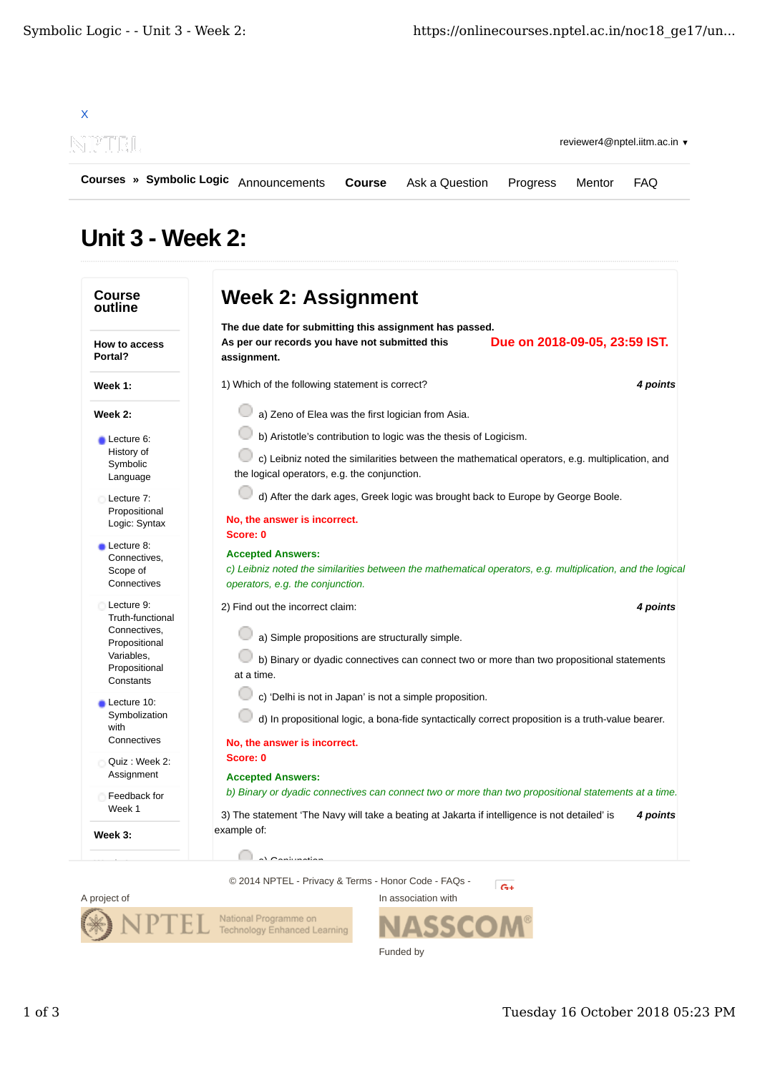

## **Unit 3 - Week 2:**





Technology Enhanced Learning

National Programme on

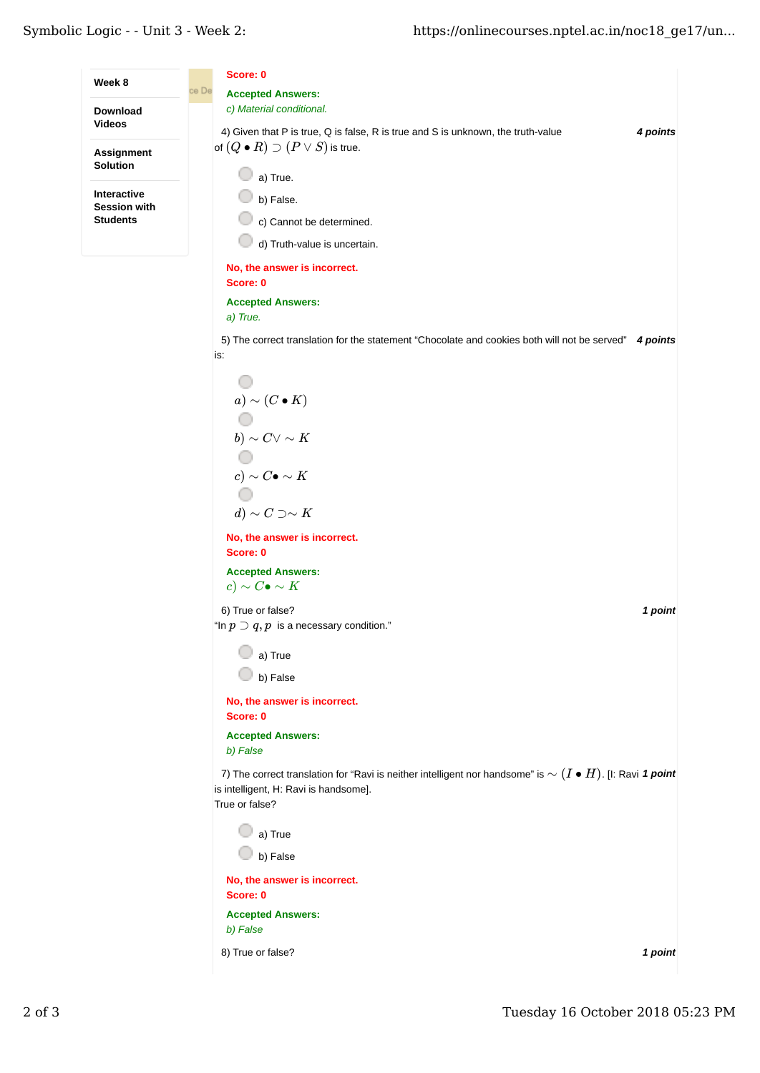**Score: 0 Week 8** and  $\overline{C}$  by  $\overline{D}$ **Accepted Answers:** *c) Material conditional.* **Download Videos** 4) *4 points* Given that P is true, Q is false, R is true and S is unknown, the truth-value of  $(Q \bullet R) \supset (P \vee S)$  is true. **Assignment Solution** a) True. **Interactive** b) False. **Session with Students** c) Cannot be determined. d) Truth-value is uncertain. **No, the answer is incorrect. Score: 0 Accepted Answers:** *a) True.* 5) The correct translation for the statement "Chocolate and cookies both will not be served" 4 points is: O *a*) ∼ ( $C \bullet K$ ) O *b*)  $∼ C ∨ ∞ K$ O *c*) ∼ *C*• ∼ *K* O *d*) ∼ *C* ⊃∼ *K* **No, the answer is incorrect. Score: 0 Accepted Answers:** *c*) ∼ *C*• ∼ *K* 6) *1 point* True or false? "In  $p\supset q, p$  is a necessary condition." a) True b) False **No, the answer is incorrect. Score: 0 Accepted Answers:** *b) False* 7) The correct translation for "Ravi is neither intelligent nor handsome" is  $∼$   $(I ∘ H)$ . [I: Ravi 1  $point$ is intelligent, H: Ravi is handsome]. True or false? C a) True b) False **No, the answer is incorrect. Score: 0 Accepted Answers:** *b) False* 8) *1 point* True or false?